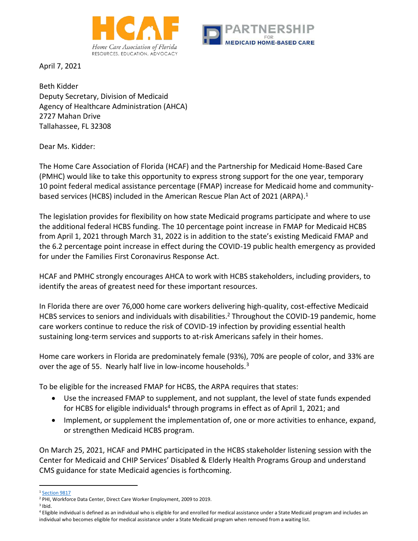



April 7, 2021

Beth Kidder Deputy Secretary, Division of Medicaid Agency of Healthcare Administration (AHCA) 2727 Mahan Drive Tallahassee, FL 32308

Dear Ms. Kidder:

The Home Care Association of Florida (HCAF) and the Partnership for Medicaid Home-Based Care (PMHC) would like to take this opportunity to express strong support for the one year, temporary 10 point federal medical assistance percentage (FMAP) increase for Medicaid home and communitybased services (HCBS) included in the American Rescue Plan Act of 2021 (ARPA). $^1$ 

The legislation provides for flexibility on how state Medicaid programs participate and where to use the additional federal HCBS funding. The 10 percentage point increase in FMAP for Medicaid HCBS from April 1, 2021 through March 31, 2022 is in addition to the state's existing Medicaid FMAP and the 6.2 percentage point increase in effect during the COVID-19 public health emergency as provided for under the Families First Coronavirus Response Act.

HCAF and PMHC strongly encourages AHCA to work with HCBS stakeholders, including providers, to identify the areas of greatest need for these important resources.

In Florida there are over 76,000 home care workers delivering high-quality, cost-effective Medicaid HCBS services to seniors and individuals with disabilities.<sup>2</sup> Throughout the COVID-19 pandemic, home care workers continue to reduce the risk of COVID-19 infection by providing essential health sustaining long-term services and supports to at-risk Americans safely in their homes.

Home care workers in Florida are predominately female (93%), 70% are people of color, and 33% are over the age of 55. Nearly half live in low-income households. $3$ 

To be eligible for the increased FMAP for HCBS, the ARPA requires that states:

- Use the increased FMAP to supplement, and not supplant, the level of state funds expended for HCBS for eligible individuals<sup>4</sup> through programs in effect as of April 1, 2021; and
- Implement, or supplement the implementation of, one or more activities to enhance, expand, or strengthen Medicaid HCBS program.

On March 25, 2021, HCAF and PMHC participated in the HCBS stakeholder listening session with the Center for Medicaid and CHIP Services' Disabled & Elderly Health Programs Group and understand CMS guidance for state Medicaid agencies is forthcoming.

<sup>&</sup>lt;sup>1</sup> [Section 9817](https://www.congress.gov/117/bills/hr1319/BILLS-117hr1319enr.pdf)

<sup>&</sup>lt;sup>2</sup> PHI, Workforce Data Center, Direct Care Worker Employment, 2009 to 2019.

 $3$  Ibid.

<sup>4</sup> Eligible individual is defined as an individual who is eligible for and enrolled for medical assistance under a State Medicaid program and includes an individual who becomes eligible for medical assistance under a State Medicaid program when removed from a waiting list.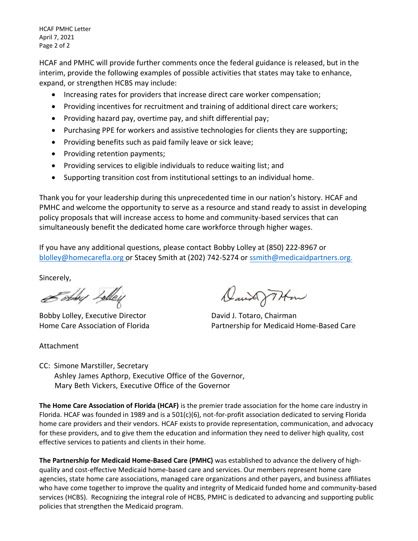HCAF PMHC Letter April 7, 2021 Page 2 of 2

HCAF and PMHC will provide further comments once the federal guidance is released, but in the interim, provide the following examples of possible activities that states may take to enhance, expand, or strengthen HCBS may include:

- Increasing rates for providers that increase direct care worker compensation;
- Providing incentives for recruitment and training of additional direct care workers;
- Providing hazard pay, overtime pay, and shift differential pay;
- Purchasing PPE for workers and assistive technologies for clients they are supporting;
- Providing benefits such as paid family leave or sick leave;
- Providing retention payments;
- Providing services to eligible individuals to reduce waiting list; and
- Supporting transition cost from institutional settings to an individual home.

Thank you for your leadership during this unprecedented time in our nation's history. HCAF and PMHC and welcome the opportunity to serve as a resource and stand ready to assist in developing policy proposals that will increase access to home and community-based services that can simultaneously benefit the dedicated home care workforce through higher wages.

If you have any additional questions, please contact Bobby Lolley at (850) 222-8967 or [blolley@homecarefla.org o](mailto:b.lolley@homecarefla.org)r Stacey Smith at (202) 742-5274 or [ssmith@medicaidpartners.org.](mailto:ssmith@medicaidpartners.org)

Sincerely,

Estog Lolley

Bobby Lolley, Executive Director **David J. Totaro, Chairman** 

Attachment

David THm

Home Care Association of Florida Partnership for Medicaid Home-Based Care

CC: Simone Marstiller, Secretary Ashley James Apthorp, Executive Office of the Governor, Mary Beth Vickers, Executive Office of the Governor

**The Home Care Association of Florida (HCAF)** is the premier trade association for the home care industry in Florida. HCAF was founded in 1989 and is a 501(c)(6), not-for-profit association dedicated to serving Florida home care providers and their vendors. HCAF exists to provide representation, communication, and advocacy for these providers, and to give them the education and information they need to deliver high quality, cost effective services to patients and clients in their home.

**The Partnership for Medicaid Home-Based Care (PMHC)** was established to advance the delivery of highquality and cost-effective Medicaid home-based care and services. Our members represent home care agencies, state home care associations, managed care organizations and other payers, and business affiliates who have come together to improve the quality and integrity of Medicaid funded home and community-based services (HCBS). Recognizing the integral role of HCBS, PMHC is dedicated to advancing and supporting public policies that strengthen the Medicaid program.